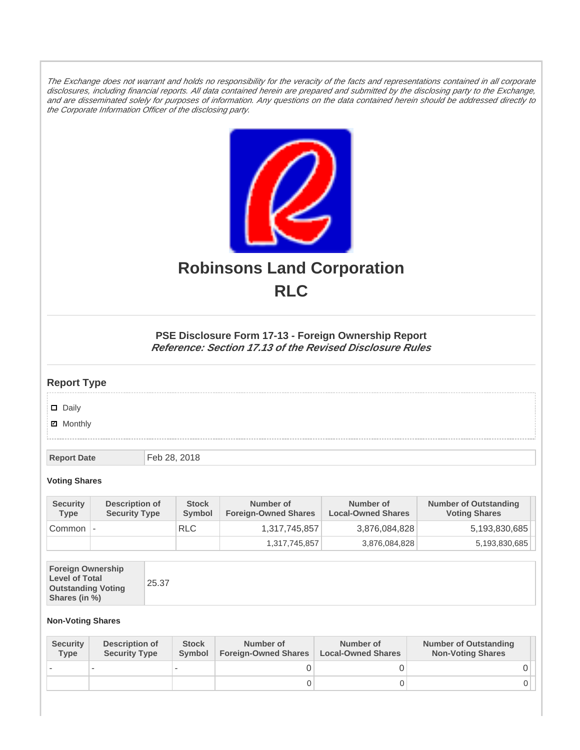The Exchange does not warrant and holds no responsibility for the veracity of the facts and representations contained in all corporate disclosures, including financial reports. All data contained herein are prepared and submitted by the disclosing party to the Exchange, and are disseminated solely for purposes of information. Any questions on the data contained herein should be addressed directly to the Corporate Information Officer of the disclosing party.



# **Robinsons Land Corporation RLC**

## **PSE Disclosure Form 17-13 - Foreign Ownership Report Reference: Section 17.13 of the Revised Disclosure Rules**

## **Report Type**

Daily

**Ø** Monthly

**Report Date** Feb 28, 2018

#### **Voting Shares**

| <b>Security</b><br><b>Type</b> | Description of<br><b>Security Type</b> | <b>Stock</b><br><b>Symbol</b> | Number of<br><b>Foreign-Owned Shares</b> | Number of<br><b>Local-Owned Shares</b> | <b>Number of Outstanding</b><br><b>Voting Shares</b> |
|--------------------------------|----------------------------------------|-------------------------------|------------------------------------------|----------------------------------------|------------------------------------------------------|
| Common                         | $\overline{\phantom{a}}$               | <b>RLC</b>                    | 1,317,745,857                            | 3,876,084,828                          | 5,193,830,685                                        |
|                                |                                        |                               | 1,317,745,857                            | 3,876,084,828                          | 5,193,830,685                                        |

| <b>Foreign Ownership</b><br><b>Level of Total</b><br><b>Outstanding Voting</b><br>Shares (in %) |
|-------------------------------------------------------------------------------------------------|
|-------------------------------------------------------------------------------------------------|

### **Non-Voting Shares**

| <b>Security</b><br><b>Type</b> | Description of<br><b>Security Type</b> | <b>Stock</b><br><b>Symbol</b> | Number of<br><b>Foreign-Owned Shares</b> | Number of<br><b>Local-Owned Shares</b> | <b>Number of Outstanding</b><br><b>Non-Voting Shares</b> |
|--------------------------------|----------------------------------------|-------------------------------|------------------------------------------|----------------------------------------|----------------------------------------------------------|
|                                |                                        |                               |                                          |                                        |                                                          |
|                                |                                        |                               | O                                        |                                        |                                                          |